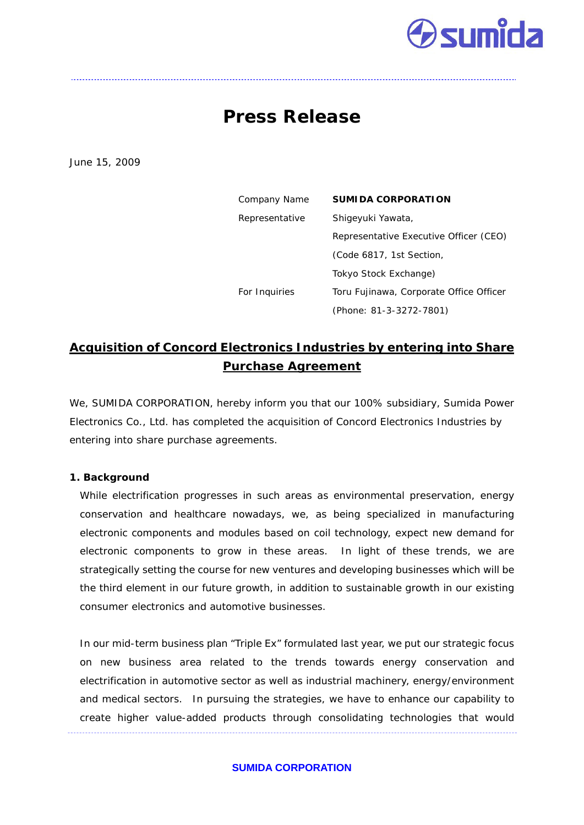# **Sumida**

## **Press Release**

June 15, 2009

| Company Name   | <b>SUMIDA CORPORATION</b>               |
|----------------|-----------------------------------------|
| Representative | Shiqeyuki Yawata,                       |
|                | Representative Executive Officer (CEO)  |
|                | (Code 6817, 1st Section,                |
|                | Tokyo Stock Exchange)                   |
| For Inquiries  | Toru Fujinawa, Corporate Office Officer |
|                | (Phone: 81-3-3272-7801)                 |

### **Acquisition of Concord Electronics Industries by entering into Share Purchase Agreement**

We, SUMIDA CORPORATION, hereby inform you that our 100% subsidiary, Sumida Power Electronics Co., Ltd. has completed the acquisition of Concord Electronics Industries by entering into share purchase agreements.

#### **1. Background**

While electrification progresses in such areas as environmental preservation, energy conservation and healthcare nowadays, we, as being specialized in manufacturing electronic components and modules based on coil technology, expect new demand for electronic components to grow in these areas. In light of these trends, we are strategically setting the course for new ventures and developing businesses which will be the third element in our future growth, in addition to sustainable growth in our existing consumer electronics and automotive businesses.

In our mid-term business plan "Triple Ex" formulated last year, we put our strategic focus on new business area related to the trends towards energy conservation and electrification in automotive sector as well as industrial machinery, energy/environment and medical sectors. In pursuing the strategies, we have to enhance our capability to create higher value-added products through consolidating technologies that would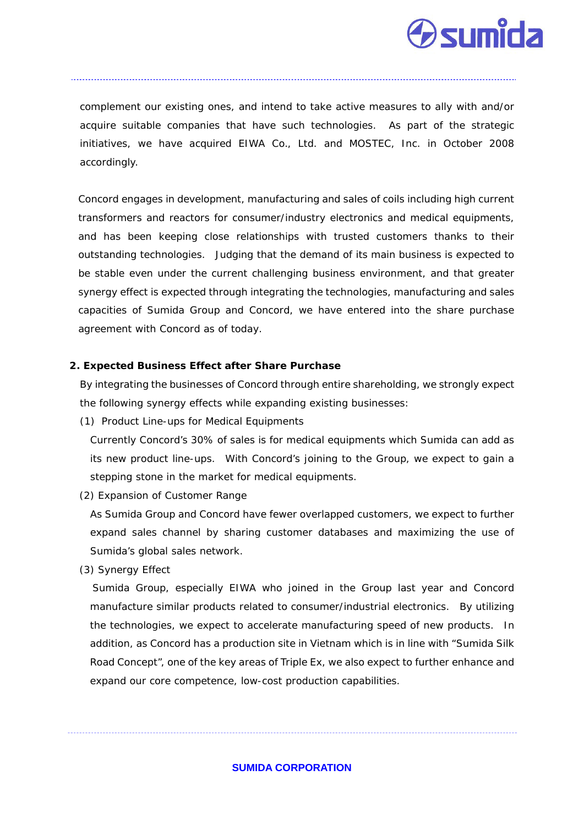

complement our existing ones, and intend to take active measures to ally with and/or acquire suitable companies that have such technologies. As part of the strategic initiatives, we have acquired EIWA Co., Ltd. and MOSTEC, Inc. in October 2008 accordingly.

Concord engages in development, manufacturing and sales of coils including high current transformers and reactors for consumer/industry electronics and medical equipments, and has been keeping close relationships with trusted customers thanks to their outstanding technologies. Judging that the demand of its main business is expected to be stable even under the current challenging business environment, and that greater synergy effect is expected through integrating the technologies, manufacturing and sales capacities of Sumida Group and Concord, we have entered into the share purchase agreement with Concord as of today.

#### **2. Expected Business Effect after Share Purchase**

By integrating the businesses of Concord through entire shareholding, we strongly expect the following synergy effects while expanding existing businesses:

(1) Product Line-ups for Medical Equipments

Currently Concord's 30% of sales is for medical equipments which Sumida can add as its new product line-ups. With Concord's joining to the Group, we expect to gain a stepping stone in the market for medical equipments.

(2) Expansion of Customer Range

As Sumida Group and Concord have fewer overlapped customers, we expect to further expand sales channel by sharing customer databases and maximizing the use of Sumida's global sales network.

(3) Synergy Effect

 Sumida Group, especially EIWA who joined in the Group last year and Concord manufacture similar products related to consumer/industrial electronics. By utilizing the technologies, we expect to accelerate manufacturing speed of new products. In addition, as Concord has a production site in Vietnam which is in line with "Sumida Silk Road Concept", one of the key areas of Triple Ex, we also expect to further enhance and expand our core competence, low-cost production capabilities.

#### **SUMIDA CORPORATION**